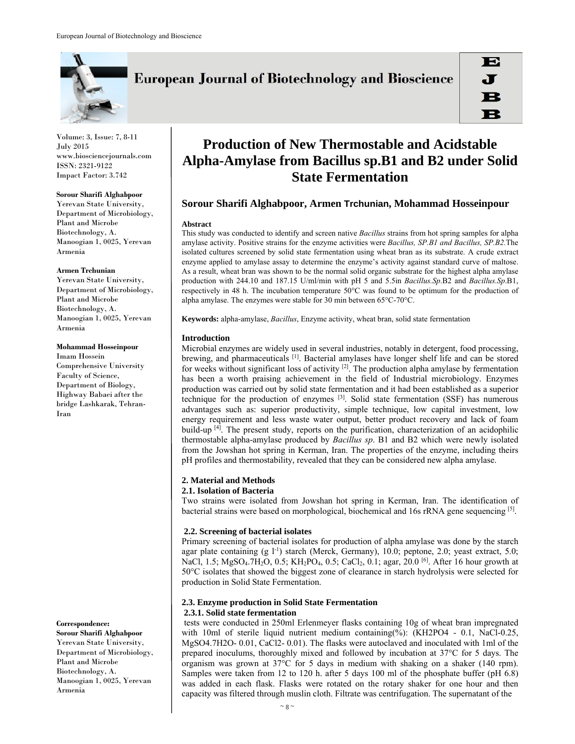

Volume: 3, Issue: 7, 8-11 July 2015 www.biosciencejournals.com ISSN: 2321-9122 Impact Factor: 3.742

#### **Sorour Sharifi Alghabpoor**

Yerevan State University, Department of Microbiology, Plant and Microbe Biotechnology, A. Manoogian 1, 0025, Yerevan Armenia

## **Armen Trchunian**

Yerevan State University, Department of Microbiology, Plant and Microbe Biotechnology, A. Manoogian 1, 0025, Yerevan Armenia

#### **Mohammad Hosseinpour**

Imam Hossein Comprehensive University Faculty of Science, Department of Biology, Highway Babaei after the bridge Lashkarak, Tehran-Iran

**Correspondence:** 

**Sorour Sharifi Alghabpoor**  Yerevan State University, Department of Microbiology, Plant and Microbe Biotechnology, A. Manoogian 1, 0025, Yerevan Armenia

# **European Journal of Biotechnology and Bioscience**

# **Production of New Thermostable and Acidstable Alpha-Amylase from Bacillus sp.B1 and B2 under Solid State Fermentation**

# **Sorour Sharifi Alghabpoor, Armen Trchunian, Mohammad Hosseinpour**

## **Abstract**

This study was conducted to identify and screen native *Bacillus* strains from hot spring samples for alpha amylase activity. Positive strains for the enzyme activities were *Bacillus, SP.B1 and Bacillus, SP.B2.*The isolated cultures screened by solid state fermentation using wheat bran as its substrate. A crude extract enzyme applied to amylase assay to determine the enzyme's activity against standard curve of maltose. As a result, wheat bran was shown to be the normal solid organic substrate for the highest alpha amylase production with 244.10 and 187.15 U/ml/min with pH 5 and 5.5in *Bacillus.Sp*.B2 and *Bacillus.Sp*.B1, respectively in 48 h. The incubation temperature 50°C was found to be optimum for the production of alpha amylase. The enzymes were stable for 30 min between 65°C-70°C.

**Keywords:** alpha-amylase, *Bacillus*, Enzyme activity, wheat bran, solid state fermentation

## **Introduction**

Microbial enzymes are widely used in several industries, notably in detergent, food processing, brewing, and pharmaceuticals <sup>[1]</sup>. Bacterial amylases have longer shelf life and can be stored for weeks without significant loss of activity <sup>[2]</sup>. The production alpha amylase by fermentation has been a worth praising achievement in the field of Industrial microbiology. Enzymes production was carried out by solid state fermentation and it had been established as a superior technique for the production of enzymes [3]. Solid state fermentation (SSF) has numerous advantages such as: superior productivity, simple technique, low capital investment, low energy requirement and less waste water output, better product recovery and lack of foam build-up  $[4]$ . The present study, reports on the purification, characterization of an acidophilic thermostable alpha-amylase produced by *Bacillus sp*. B1 and B2 which were newly isolated from the Jowshan hot spring in Kerman, Iran. The properties of the enzyme, including theirs pH profiles and thermostability, revealed that they can be considered new alpha amylase.

# **2. Material and Methods**

# **2.1. Isolation of Bacteria**

Two strains were isolated from Jowshan hot spring in Kerman, Iran. The identification of bacterial strains were based on morphological, biochemical and 16s rRNA gene sequencing [5].

# **2.2. Screening of bacterial isolates**

Primary screening of bacterial isolates for production of alpha amylase was done by the starch agar plate containing  $(g l^{-1})$  starch (Merck, Germany), 10.0; peptone, 2.0; yeast extract, 5.0; NaCl, 1.5; MgSO<sub>4</sub>.7H<sub>2</sub>O, 0.5; KH<sub>2</sub>PO<sub>4</sub>, 0.5; CaCl<sub>2</sub>, 0.1; agar, 20.0<sup>[6]</sup>. After 16 hour growth at 50°C isolates that showed the biggest zone of clearance in starch hydrolysis were selected for production in Solid State Fermentation.

# **2.3. Enzyme production in Solid State Fermentation 2.3.1. Solid state fermentation**

tests were conducted in 250ml Erlenmeyer flasks containing 10g of wheat bran impregnated with 10ml of sterile liquid nutrient medium containing(%): (KH2PO4 - 0.1, NaCl-0.25, MgSO4.7H2O- 0.01, CaCl2- 0.01). The flasks were autoclaved and inoculated with 1ml of the prepared inoculums, thoroughly mixed and followed by incubation at 37°C for 5 days. The organism was grown at 37°C for 5 days in medium with shaking on a shaker (140 rpm). Samples were taken from 12 to 120 h. after 5 days 100 ml of the phosphate buffer (pH 6.8) was added in each flask. Flasks were rotated on the rotary shaker for one hour and then capacity was filtered through muslin cloth. Filtrate was centrifugation. The supernatant of the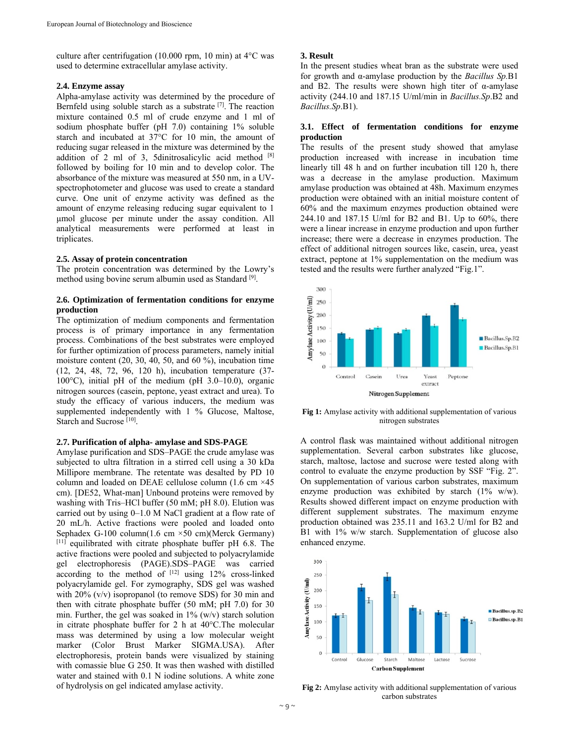culture after centrifugation (10.000 rpm, 10 min) at 4°C was used to determine extracellular amylase activity.

## **2.4. Enzyme assay**

Alpha-amylase activity was determined by the procedure of Bernfeld using soluble starch as a substrate  $[7]$ . The reaction mixture contained 0.5 ml of crude enzyme and 1 ml of sodium phosphate buffer (pH 7.0) containing 1% soluble starch and incubated at 37°C for 10 min, the amount of reducing sugar released in the mixture was determined by the addition of 2 ml of 3, 5dinitrosalicylic acid method [8] followed by boiling for 10 min and to develop color. The absorbance of the mixture was measured at 550 nm, in a UVspectrophotometer and glucose was used to create a standard curve. One unit of enzyme activity was defined as the amount of enzyme releasing reducing sugar equivalent to 1 µmol glucose per minute under the assay condition. All analytical measurements were performed at least in triplicates.

#### **2.5. Assay of protein concentration**

The protein concentration was determined by the Lowry's method using bovine serum albumin used as Standard [9].

## **2.6. Optimization of fermentation conditions for enzyme production**

The optimization of medium components and fermentation process is of primary importance in any fermentation process. Combinations of the best substrates were employed for further optimization of process parameters, namely initial moisture content (20, 30, 40, 50, and 60 %), incubation time (12, 24, 48, 72, 96, 120 h), incubation temperature (37- 100°C), initial pH of the medium (pH 3.0–10.0), organic nitrogen sources (casein, peptone, yeast extract and urea). To study the efficacy of various inducers, the medium was supplemented independently with 1 % Glucose, Maltose, Starch and Sucrose [10].

#### **2.7. Purification of alpha- amylase and SDS-PAGE**

Amylase purification and SDS–PAGE the crude amylase was subjected to ultra filtration in a stirred cell using a 30 kDa Millipore membrane. The retentate was desalted by PD 10 column and loaded on DEAE cellulose column (1.6 cm ×45 cm). [DE52, What-man] Unbound proteins were removed by washing with Tris–HCl buffer (50 mM; pH 8.0). Elution was carried out by using 0–1.0 M NaCl gradient at a flow rate of 20 mL/h. Active fractions were pooled and loaded onto Sephadex G-100 column(1.6 cm  $\times$ 50 cm)(Merck Germany)  $[11]$  equilibrated with citrate phosphate buffer pH 6.8. The active fractions were pooled and subjected to polyacrylamide gel electrophoresis (PAGE).SDS–PAGE was carried according to the method of  $[12]$  using 12% cross-linked polyacrylamide gel. For zymography, SDS gel was washed with 20% (v/v) isopropanol (to remove SDS) for 30 min and then with citrate phosphate buffer (50 mM; pH 7.0) for 30 min. Further, the gel was soaked in  $1\%$  (w/v) starch solution in citrate phosphate buffer for 2 h at 40°C.The molecular mass was determined by using a low molecular weight marker (Color Brust Marker SIGMA.USA). After electrophoresis, protein bands were visualized by staining with comassie blue G 250. It was then washed with distilled water and stained with 0.1 N iodine solutions. A white zone of hydrolysis on gel indicated amylase activity.

## **3. Result**

In the present studies wheat bran as the substrate were used for growth and α-amylase production by the *Bacillus Sp.*B1 and B2. The results were shown high titer of  $\alpha$ -amylase activity (244.10 and 187.15 U/ml/min in *Bacillus.Sp*.B2 and *Bacillus.Sp*.B1).

## **3.1. Effect of fermentation conditions for enzyme production**

The results of the present study showed that amylase production increased with increase in incubation time linearly till 48 h and on further incubation till 120 h, there was a decrease in the amylase production. Maximum amylase production was obtained at 48h. Maximum enzymes production were obtained with an initial moisture content of 60% and the maximum enzymes production obtained were 244.10 and 187.15 U/ml for B2 and B1. Up to 60%, there were a linear increase in enzyme production and upon further increase; there were a decrease in enzymes production. The effect of additional nitrogen sources like, casein, urea, yeast extract, peptone at 1% supplementation on the medium was tested and the results were further analyzed "Fig.1".



**Fig 1:** Amylase activity with additional supplementation of various nitrogen substrates

A control flask was maintained without additional nitrogen supplementation. Several carbon substrates like glucose, starch, maltose, lactose and sucrose were tested along with control to evaluate the enzyme production by SSF "Fig. 2". On supplementation of various carbon substrates, maximum enzyme production was exhibited by starch (1% w/w). Results showed different impact on enzyme production with different supplement substrates. The maximum enzyme production obtained was 235.11 and 163.2 U/ml for B2 and B1 with 1% w/w starch. Supplementation of glucose also enhanced enzyme.



**Fig 2:** Amylase activity with additional supplementation of various carbon substrates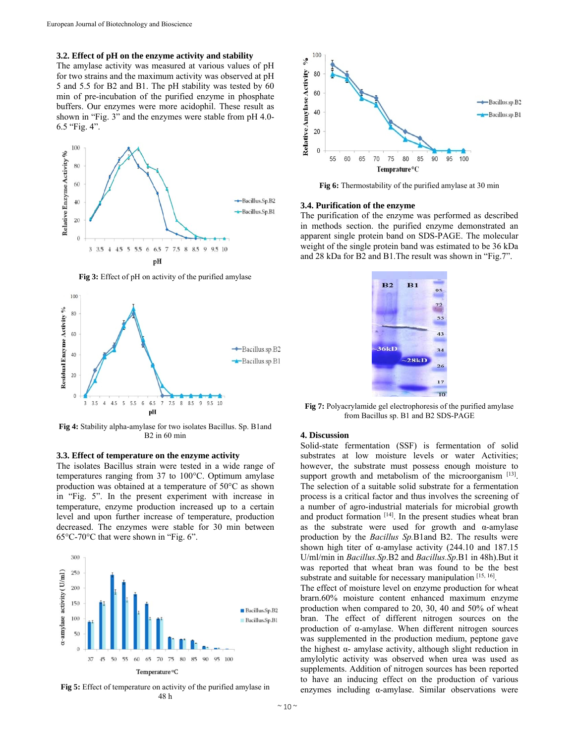## **3.2. Effect of pH on the enzyme activity and stability**

The amylase activity was measured at various values of pH for two strains and the maximum activity was observed at pH 5 and 5.5 for B2 and B1. The pH stability was tested by 60 min of pre-incubation of the purified enzyme in phosphate buffers. Our enzymes were more acidophil. These result as shown in "Fig. 3" and the enzymes were stable from pH 4.0- 6.5 "Fig. 4".



**Fig 3:** Effect of pH on activity of the purified amylase



**Fig 4:** Stability alpha-amylase for two isolates Bacillus. Sp. B1and B2 in 60 min

## **3.3. Effect of temperature on the enzyme activity**

The isolates Bacillus strain were tested in a wide range of temperatures ranging from 37 to 100°C. Optimum amylase production was obtained at a temperature of 50°C as shown in "Fig. 5". In the present experiment with increase in temperature, enzyme production increased up to a certain level and upon further increase of temperature, production decreased. The enzymes were stable for 30 min between 65°C-70°C that were shown in "Fig. 6".



**Fig 5:** Effect of temperature on activity of the purified amylase in 48 h



**Fig 6:** Thermostability of the purified amylase at 30 min

#### **3.4. Purification of the enzyme**

The purification of the enzyme was performed as described in methods section. the purified enzyme demonstrated an apparent single protein band on SDS-PAGE. The molecular weight of the single protein band was estimated to be 36 kDa and 28 kDa for B2 and B1.The result was shown in "Fig.7".



**Fig 7:** Polyacrylamide gel electrophoresis of the purified amylase from Bacillus sp. B1 and B2 SDS-PAGE

#### **4. Discussion**

Solid-state fermentation (SSF) is fermentation of solid substrates at low moisture levels or water Activities; however, the substrate must possess enough moisture to support growth and metabolism of the microorganism  $[13]$ . The selection of a suitable solid substrate for a fermentation process is a critical factor and thus involves the screening of a number of agro-industrial materials for microbial growth and product formation [14]. In the present studies wheat bran as the substrate were used for growth and  $\alpha$ -amylase production by the *Bacillus Sp.*B1and B2. The results were shown high titer of  $\alpha$ -amylase activity (244.10 and 187.15 U/ml/min in *Bacillus.Sp*.B2 and *Bacillus.Sp*.B1 in 48h).But it was reported that wheat bran was found to be the best substrate and suitable for necessary manipulation [15, 16].

The effect of moisture level on enzyme production for wheat brarn.60% moisture content enhanced maximum enzyme production when compared to 20, 30, 40 and 50% of wheat bran. The effect of different nitrogen sources on the production of α-amylase. When different nitrogen sources was supplemented in the production medium, peptone gave the highest α- amylase activity, although slight reduction in amylolytic activity was observed when urea was used as supplements. Addition of nitrogen sources has been reported to have an inducing effect on the production of various enzymes including α-amylase. Similar observations were